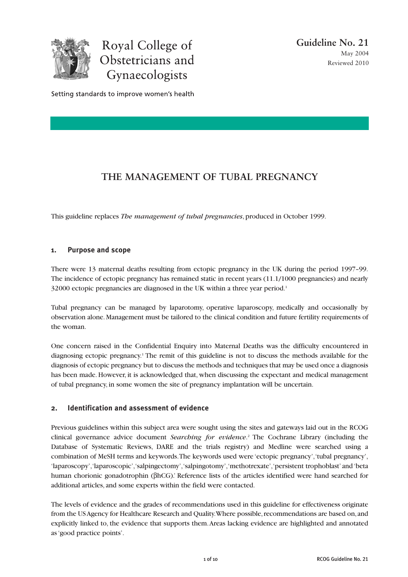

Royal College of Obstetricians and Gynaecologists

Setting standards to improve women's health

# **THE MANAGEMENT OF TUBAL PREGNANCY**

This guideline replaces *The management of tubal pregnancies*, produced in October 1999.

# **1. Purpose and scope**

There were 13 maternal deaths resulting from ectopic pregnancy in the UK during the period 1997–99. The incidence of ectopic pregnancy has remained static in recent years (11.1/1000 pregnancies) and nearly 32000 ectopic pregnancies are diagnosed in the UK within a three year period.<sup>1</sup>

Tubal pregnancy can be managed by laparotomy, operative laparoscopy, medically and occasionally by observation alone. Management must be tailored to the clinical condition and future fertility requirements of the woman.

One concern raised in the Confidential Enquiry into Maternal Deaths was the difficulty encountered in diagnosing ectopic pregnancy.1 The remit of this guideline is not to discuss the methods available for the diagnosis of ectopic pregnancy but to discuss the methods and techniques that may be used once a diagnosis has been made. However, it is acknowledged that, when discussing the expectant and medical management of tubal pregnancy, in some women the site of pregnancy implantation will be uncertain.

# **2. Identification and assessment of evidence**

Previous guidelines within this subject area were sought using the sites and gateways laid out in the RCOG clinical governance advice document *Searching for evidence*. <sup>2</sup> The Cochrane Library (including the Database of Systematic Reviews, DARE and the trials registry) and Medline were searched using a combination of MeSH terms and keywords. The keywords used were 'ectopic pregnancy', 'tubal pregnancy', 'laparoscopy', 'laparoscopic', 'salpingectomy', 'salpingotomy', 'methotrexate', 'persistent trophoblast' and 'beta human chorionic gonadotrophin (βhCG).' Reference lists of the articles identified were hand searched for additional articles, and some experts within the field were contacted.

The levels of evidence and the grades of recommendations used in this guideline for effectiveness originate from the US Agency for Healthcare Research and Quality. Where possible, recommendations are based on, and explicitly linked to, the evidence that supports them. Areas lacking evidence are highlighted and annotated as 'good practice points'.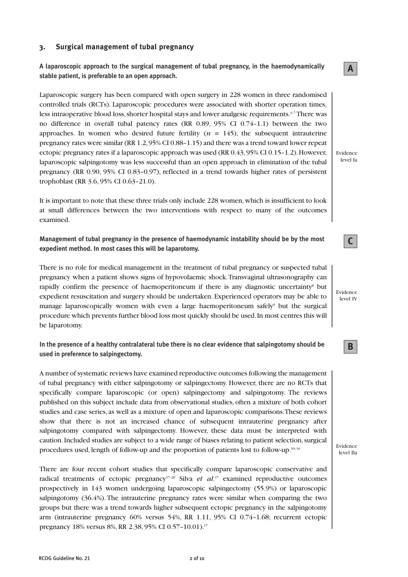# **3. Surgical management of tubal pregnancy**

**A laparoscopic approach to the surgical management of tubal pregnancy, in the haemodynamically stable patient, is preferable to an open approach.**

Laparoscopic surgery has been compared with open surgery in 228 women in three randomised controlled trials (RCTs). Laparoscopic procedures were associated with shorter operation times, less intraoperative blood loss, shorter hospital stays and lower analgesic requirements.<sup>3-7</sup>There was no difference in overall tubal patency rates (RR  $0.89, 95\%$  CI  $0.74-1.1$ ) between the two approaches. In women who desired future fertility  $(n = 145)$ , the subsequent intrauterine pregnancy rates were similar (RR 1.2, 95% CI 0.88–1.15) and there was a trend toward lower repeat ectopic pregnancy rates if a laparoscopic approach was used (RR 0.43, 95% CI 0.15–1.2). However, laparoscopic salpingotomy was less successful than an open approach in elimination of the tubal pregnancy (RR 0.90, 95% CI 0.83–0.97), reflected in a trend towards higher rates of persistent trophoblast (RR 3.6, 95% CI 0.63–21.0).

It is important to note that these three trials only include 228 women, which is insufficient to look at small differences between the two interventions with respect to many of the outcomes examined.

**Management of tubal pregnancy in the presence of haemodynamic instability should be by the most expedient method. In most cases this will be laparotomy.**

There is no role for medical management in the treatment of tubal pregnancy or suspected tubal pregnancy when a patient shows signs of hypovolaemic shock. Transvaginal ultrasonography can rapidly confirm the presence of haemoperitoneum if there is any diagnostic uncertainty<sup>8</sup> but expedient resuscitation and surgery should be undertaken. Experienced operators may be able to manage laparoscopically women with even a large haemoperitoneum safely $\delta$  but the surgical procedure which prevents further blood loss most quickly should be used. In most centres this will be laparotomy.

**In the presence of a healthy contralateral tube there is no clear evidence that salpingotomy should be used in preference to salpingectomy.**

A number of systematic reviews have examined reproductive outcomes following the management of tubal pregnancy with either salpingotomy or salpingectomy. However, there are no RCTs that specifically compare laparoscopic (or open) salpingectomy and salpingotomy. The reviews published on this subject include data from observational studies, often a mixture of both cohort studies and case series, as well as a mixture of open and laparoscopic comparisons. These reviews show that there is not an increased chance of subsequent intrauterine pregnancy after salpingotomy compared with salpingectomy. However, these data must be interpreted with caution. Included studies are subject to a wide range of biases relating to patient selection, surgical procedures used, length of follow-up and the proportion of patients lost to follow-up.<sup>10–16</sup>

There are four recent cohort studies that specifically compare laparoscopic conservative and radical treatments of ectopic pregnancy<sup>17-20</sup> Silva *et al*.<sup>17</sup> examined reproductive outcomes prospectively in 143 women undergoing laparoscopic salpingectomy (55.9%) or laparoscopic salpingotomy (36.4%). The intrauterine pregnancy rates were similar when comparing the two groups but there was a trend towards higher subsequent ectopic pregnancy in the salpingotomy arm (intrauterine pregnancy 60% versus 54%, RR 1.11, 95% CI 0.74–1.68; recurrent ectopic pregnancy 18% versus 8%, RR 2.38, 95% CI 0.57–10.01).17

Evidence level Ia

**A**

Evidence level IV

**B**

**C**

Evidence level IIa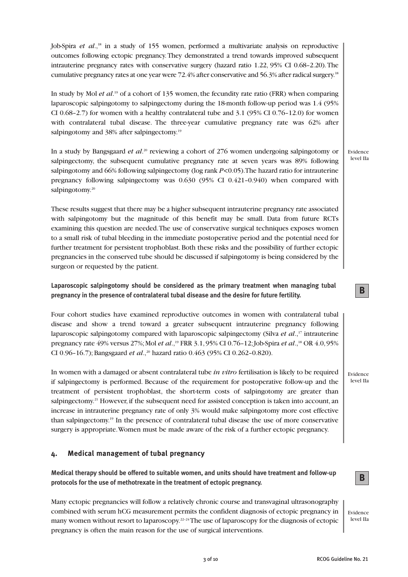Job-Spira *et al*.,18 in a study of 155 women, performed a multivariate analysis on reproductive outcomes following ectopic pregnancy. They demonstrated a trend towards improved subsequent intrauterine pregnancy rates with conservative surgery (hazard ratio 1.22, 95% CI 0.68–2.20). The cumulative pregnancy rates at one year were 72.4% after conservative and 56.3% after radical surgery.18

In study by Mol *et al*. <sup>19</sup> of a cohort of 135 women, the fecundity rate ratio (FRR) when comparing laparoscopic salpingotomy to salpingectomy during the 18-month follow-up period was 1.4 (95% CI 0.68–2.7) for women with a healthy contralateral tube and 3.1 (95% CI 0.76–12.0) for women with contralateral tubal disease. The three-year cumulative pregnancy rate was 62% after salpingotomy and 38% after salpingectomy.<sup>19</sup>

In a study by Bangsgaard *et al*. <sup>20</sup> reviewing a cohort of 276 women undergoing salpingotomy or salpingectomy, the subsequent cumulative pregnancy rate at seven years was 89% following salpingotomy and 66% following salpingectomy (log rank *P*<0.05). The hazard ratio for intrauterine pregnancy following salpingectomy was 0.630 (95% CI 0.421–0.940) when compared with salpingotomy.<sup>20</sup>

These results suggest that there may be a higher subsequent intrauterine pregnancy rate associated with salpingotomy but the magnitude of this benefit may be small. Data from future RCTs examining this question are needed. The use of conservative surgical techniques exposes women to a small risk of tubal bleeding in the immediate postoperative period and the potential need for further treatment for persistent trophoblast. Both these risks and the possibility of further ectopic pregnancies in the conserved tube should be discussed if salpingotomy is being considered by the surgeon or requested by the patient.

## **Laparoscopic salpingotomy should be considered as the primary treatment when managing tubal pregnancy in the presence of contralateral tubal disease and the desire for future fertility.**

Four cohort studies have examined reproductive outcomes in women with contralateral tubal disease and show a trend toward a greater subsequent intrauterine pregnancy following laparoscopic salpingotomy compared with laparoscopic salpingectomy (Silva *et al*.,17 intrauterine pregnancy rate 49% versus 27%; Mol *et al.*,<sup>19</sup> FRR 3.1, 95% CI 0.76-12; Job-Spira *et al.*,<sup>18</sup> OR 4.0, 95% CI 0.96-16.7); Bangsgaard *et al.*,<sup>20</sup> hazard ratio 0.463 (95% CI 0.262-0.820).

In women with a damaged or absent contralateral tube *in vitro* fertilisation is likely to be required if salpingectomy is performed. Because of the requirement for postoperative follow-up and the treatment of persistent trophoblast, the short-term costs of salpingotomy are greater than salpingectomy.<sup>21</sup> However, if the subsequent need for assisted conception is taken into account, an increase in intrauterine pregnancy rate of only 3% would make salpingotomy more cost effective than salpingectomy.19 In the presence of contralateral tubal disease the use of more conservative surgery is appropriate. Women must be made aware of the risk of a further ectopic pregnancy.

## **4. Medical management of tubal pregnancy**

**Medical therapy should be offered to suitable women, and units should have treatment and follow-up protocols for the use of methotrexate in the treatment of ectopic pregnancy.** 

Many ectopic pregnancies will follow a relatively chronic course and transvaginal ultrasonography combined with serum hCG measurement permits the confident diagnosis of ectopic pregnancy in many women without resort to laparoscopy.<sup>22-24</sup>The use of laparoscopy for the diagnosis of ectopic pregnancy is often the main reason for the use of surgical interventions.

Evidence level IIa

**B**

Evidence level IIa

Evidence level IIa

**B**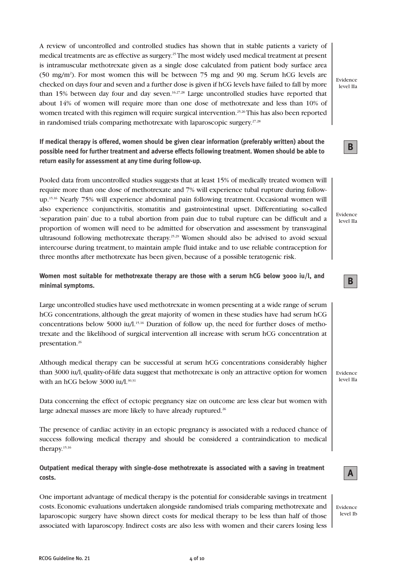A review of uncontrolled and controlled studies has shown that in stable patients a variety of medical treatments are as effective as surgery.25The most widely used medical treatment at present is intramuscular methotrexate given as a single dose calculated from patient body surface area (50 mg/m2 ). For most women this will be between 75 mg and 90 mg. Serum hCG levels are checked on days four and seven and a further dose is given if hCG levels have failed to fall by more than 15% between day four and day seven.<sup>16,27,28</sup> Large uncontrolled studies have reported that about 14% of women will require more than one dose of methotrexate and less than 10% of women treated with this regimen will require surgical intervention.<sup>25,26</sup>This has also been reported in randomised trials comparing methotrexate with laparoscopic surgery.<sup>27,28</sup>

**If medical therapy is offered, women should be given clear information (preferably written) about the possible need for further treatment and adverse effects following treatment. Women should be able to return easily for assessment at any time during follow-up.**

Pooled data from uncontrolled studies suggests that at least 15% of medically treated women will require more than one dose of methotrexate and 7% will experience tubal rupture during followup.15,16 Nearly 75% will experience abdominal pain following treatment. Occasional women will also experience conjunctivitis, stomatitis and gastrointestinal upset. Differentiating so-called 'separation pain' due to a tubal abortion from pain due to tubal rupture can be difficult and a proportion of women will need to be admitted for observation and assessment by transvaginal ultrasound following methotrexate therapy.<sup>25,29</sup> Women should also be advised to avoid sexual intercourse during treatment, to maintain ample fluid intake and to use reliable contraception for three months after methotrexate has been given, because of a possible teratogenic risk.

**Women most suitable for methotrexate therapy are those with a serum hCG below 3000 iu/l, and minimal symptoms.**

Large uncontrolled studies have used methotrexate in women presenting at a wide range of serum hCG concentrations, although the great majority of women in these studies have had serum hCG concentrations below 5000 iu/l.<sup>15,16</sup> Duration of follow up, the need for further doses of methotrexate and the likelihood of surgical intervention all increase with serum hCG concentration at presentation.<sup>26</sup>

Although medical therapy can be successful at serum hCG concentrations considerably higher than 3000 iu/l, quality-of-life data suggest that methotrexate is only an attractive option for women with an hCG below 3000 iu/l. $30,31$ 

Data concerning the effect of ectopic pregnancy size on outcome are less clear but women with large adnexal masses are more likely to have already ruptured.<sup>26</sup>

The presence of cardiac activity in an ectopic pregnancy is associated with a reduced chance of success following medical therapy and should be considered a contraindication to medical therapy.15,16

**Outpatient medical therapy with single-dose methotrexate is associated with a saving in treatment costs.**

One important advantage of medical therapy is the potential for considerable savings in treatment costs. Economic evaluations undertaken alongside randomised trials comparing methotrexate and laparoscopic surgery have shown direct costs for medical therapy to be less than half of those associated with laparoscopy. Indirect costs are also less with women and their carers losing less

Evidence level IIa

**B**

Evidence level IIa

Evidence level IIa

**A**

Evidence level Ib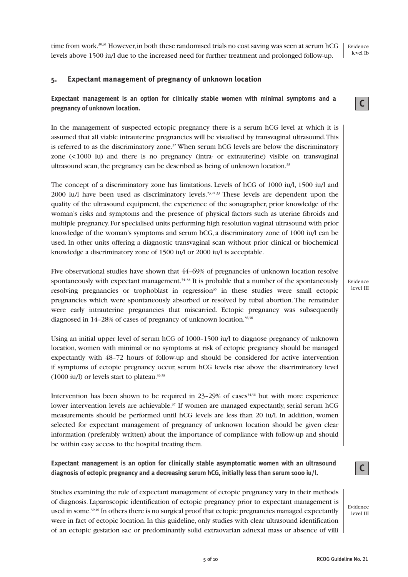**C**

Evidence level III

time from work.<sup>30,31</sup> However, in both these randomised trials no cost saving was seen at serum hCG levels above 1500 iu/l due to the increased need for further treatment and prolonged follow-up.

# **5. Expectant management of pregnancy of unknown location**

# **Expectant management is an option for clinically stable women with minimal symptoms and a pregnancy of unknown location.**

In the management of suspected ectopic pregnancy there is a serum hCG level at which it is assumed that all viable intrauterine pregnancies will be visualised by transvaginal ultrasound. This is referred to as the discriminatory zone.<sup>32</sup> When serum hCG levels are below the discriminatory zone (<1000 iu) and there is no pregnancy (intra- or extrauterine) visible on transvaginal ultrasound scan, the pregnancy can be described as being of unknown location.<sup>33</sup>

The concept of a discriminatory zone has limitations. Levels of hCG of 1000 iu/l, 1500 iu/l and 2000 iu/l have been used as discriminatory levels.23,24,33 These levels are dependent upon the quality of the ultrasound equipment, the experience of the sonographer, prior knowledge of the woman's risks and symptoms and the presence of physical factors such as uterine fibroids and multiple pregnancy. For specialised units performing high resolution vaginal ultrasound with prior knowledge of the woman's symptoms and serum hCG, a discriminatory zone of 1000 iu/l can be used. In other units offering a diagnostic transvaginal scan without prior clinical or biochemical knowledge a discriminatory zone of 1500 iu/l or 2000 iu/l is acceptable.

Five observational studies have shown that 44–69% of pregnancies of unknown location resolve spontaneously with expectant management.<sup>34-38</sup> It is probable that a number of the spontaneously resolving pregnancies or trophoblast in regression<sup>35</sup> in these studies were small ectopic pregnancies which were spontaneously absorbed or resolved by tubal abortion. The remainder were early intrauterine pregnancies that miscarried. Ectopic pregnancy was subsequently diagnosed in  $14-28\%$  of cases of pregnancy of unknown location.<sup>36,38</sup>

Using an initial upper level of serum hCG of 1000–1500 iu/l to diagnose pregnancy of unknown location, women with minimal or no symptoms at risk of ectopic pregnancy should be managed expectantly with 48–72 hours of follow-up and should be considered for active intervention if symptoms of ectopic pregnancy occur, serum hCG levels rise above the discriminatory level  $(1000 \text{ iu/l})$  or levels start to plateau.<sup>36,38</sup>

Intervention has been shown to be required in  $23-29\%$  of cases  $34,36$  but with more experience lower intervention levels are achievable.<sup>37</sup> If women are managed expectantly, serial serum hCG measurements should be performed until hCG levels are less than 20 iu/l. In addition, women selected for expectant management of pregnancy of unknown location should be given clear information (preferably written) about the importance of compliance with follow-up and should be within easy access to the hospital treating them.

**Expectant management is an option for clinically stable asymptomatic women with an ultrasound diagnosis of ectopic pregnancy and a decreasing serum hCG, initially less than serum 1000 iu/l.**

Studies examining the role of expectant management of ectopic pregnancy vary in their methods of diagnosis. Laparoscopic identification of ectopic pregnancy prior to expectant management is used in some.<sup>39,40</sup> In others there is no surgical proof that ectopic pregnancies managed expectantly were in fact of ectopic location. In this guideline, only studies with clear ultrasound identification of an ectopic gestation sac or predominantly solid extraovarian adnexal mass or absence of villi **C**

Evidence level III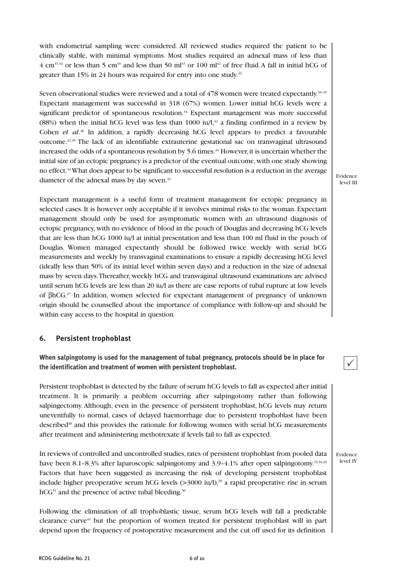with endometrial sampling were considered. All reviewed studies required the patient to be clinically stable, with minimal symptoms. Most studies required an adnexal mass of less than  $4 \text{ cm}^{41,42}$  or less than 5 cm<sup>43</sup> and less than 50 ml<sup>43</sup> or 100 ml<sup>42</sup> of free fluid. A fall in initial hCG of greater than 15% in 24 hours was required for entry into one study.<sup>43</sup>

Seven observational studies were reviewed and a total of 478 women were treated expectantly.<sup>39-45</sup> Expectant management was successful in 318 (67%) women. Lower initial hCG levels were a significant predictor of spontaneous resolution.<sup>44</sup> Expectant management was more successful (88%) when the initial hCG level was less than 1000 iu/l,<sup>42</sup> a finding confirmed in a review by Cohen *et al.*<sup>46</sup> In addition, a rapidly decreasing hCG level appears to predict a favourable outcome.42,45 The lack of an identifiable extrauterine gestational sac on transvaginal ultrasound increased the odds of a spontaneous resolution by 5.6 times.<sup>44</sup> However, it is uncertain whether the initial size of an ectopic pregnancy is a predictor of the eventual outcome, with one study showing no effect.44What does appear to be significant to successful resolution is a reduction in the average diameter of the adnexal mass by day seven.<sup>43</sup>

Expectant management is a useful form of treatment management for ectopic pregnancy in selected cases. It is however only acceptable if it involves minimal risks to the woman. Expectant management should only be used for asymptomatic women with an ultrasound diagnosis of ectopic pregnancy, with no evidence of blood in the pouch of Douglas and decreasing hCG levels that are less than hCG 1000 iu/l at initial presentation and less than 100 ml fluid in the pouch of Douglas. Women managed expectantly should be followed twice weekly with serial hCG measurements and weekly by transvaginal examinations to ensure a rapidly decreasing hCG level (ideally less than 50% of its initial level within seven days) and a reduction in the size of adnexal mass by seven days. Thereafter, weekly hCG and transvaginal ultrasound examinations are advised until serum hCG levels are less than 20 iu/l as there are case reports of tubal rupture at low levels of βhCG.47 In addition, women selected for expectant management of pregnancy of unknown origin should be counselled about the importance of compliance with follow-up and should be within easy access to the hospital in question.

## **6. Persistent trophoblast**

**When salpingotomy is used for the management of tubal pregnancy, protocols should be in place for the identification and treatment of women with persistent trophoblast.**

Persistent trophoblast is detected by the failure of serum hCG levels to fall as expected after initial treatment. It is primarily a problem occurring after salpingotomy rather than following salpingectomy. Although, even in the presence of persistent trophoblast, hCG levels may return uneventfully to normal, cases of delayed haemorrhage due to persistent trophoblast have been described<sup>48</sup> and this provides the rationale for following women with serial hCG measurements after treatment and administering methotrexate if levels fail to fall as expected.

In reviews of controlled and uncontrolled studies, rates of persistent trophoblast from pooled data have been 8.1-8.3% after laparoscopic salpingotomy and 3.9-4.1% after open salpingotomy.<sup>15,16,49</sup> Factors that have been suggested as increasing the risk of developing persistent trophoblast include higher preoperative serum hCG levels  $(>3000 \text{ iu/l})$ ,<sup>50</sup> a rapid preoperative rise in serum  $hCG<sup>51</sup>$  and the presence of active tubal bleeding.<sup>50</sup>

Following the elimination of all trophoblastic tissue, serum hCG levels will fall a predictable clearance curve<sup>49</sup> but the proportion of women treated for persistent trophoblast will in part depend upon the frequency of postoperative measurement and the cut off used for its definition. Evidence level III

 $\checkmark$ 

Evidence level IV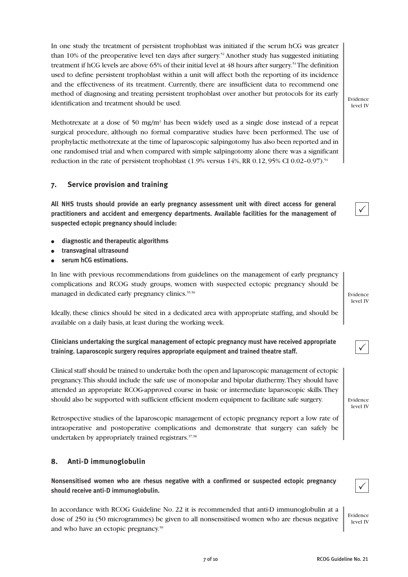In one study the treatment of persistent trophoblast was initiated if the serum hCG was greater than 10% of the preoperative level ten days after surgery.52 Another study has suggested initiating treatment if hCG levels are above 65% of their initial level at 48 hours after surgery.53The definition used to define persistent trophoblast within a unit will affect both the reporting of its incidence and the effectiveness of its treatment. Currently, there are insufficient data to recommend one method of diagnosing and treating persistent trophoblast over another but protocols for its early identification and treatment should be used.

Methotrexate at a dose of 50 mg/m2 has been widely used as a single dose instead of a repeat surgical procedure, although no formal comparative studies have been performed. The use of prophylactic methotrexate at the time of laparoscopic salpingotomy has also been reported and in one randomised trial and when compared with simple salpingotomy alone there was a significant reduction in the rate of persistent trophoblast (1.9% versus 14%, RR 0.12, 95% CI 0.02–0.97).<sup>54</sup>

# **7. Service provision and training**

**All NHS trusts should provide an early pregnancy assessment unit with direct access for general practitioners and accident and emergency departments. Available facilities for the management of suspected ectopic pregnancy should include:**

- **diagnostic and therapeutic algorithms**
- **transvaginal ultrasound**
- serum **hCG** estimations.

In line with previous recommendations from guidelines on the management of early pregnancy complications and RCOG study groups, women with suspected ectopic pregnancy should be managed in dedicated early pregnancy clinics.<sup>55,56</sup>

Ideally, these clinics should be sited in a dedicated area with appropriate staffing, and should be available on a daily basis, at least during the working week.

**Clinicians undertaking the surgical management of ectopic pregnancy must have received appropriate training. Laparoscopic surgery requires appropriate equipment and trained theatre staff.**

Clinical staff should be trained to undertake both the open and laparoscopic management of ectopic pregnancy. This should include the safe use of monopolar and bipolar diathermy. They should have attended an appropriate RCOG-approved course in basic or intermediate laparoscopic skills. They should also be supported with sufficient efficient modern equipment to facilitate safe surgery.

Retrospective studies of the laparoscopic management of ectopic pregnancy report a low rate of intraoperative and postoperative complications and demonstrate that surgery can safely be undertaken by appropriately trained registrars.<sup>57,58</sup>

## **8. Anti-D immunoglobulin**

**Nonsensitised women who are rhesus negative with a confirmed or suspected ectopic pregnancy should receive anti-D immunoglobulin.**

In accordance with RCOG Guideline No. 22 it is recommended that anti-D immunoglobulin at a dose of 250 iu (50 microgrammes) be given to all nonsensitised women who are rhesus negative and who have an ectopic pregnancy.<sup>59</sup>

Evidence level IV

Evidence level IV

 $\checkmark$ 

 $\checkmark$ 

Evidence level IV



 $\checkmark$ 

level IV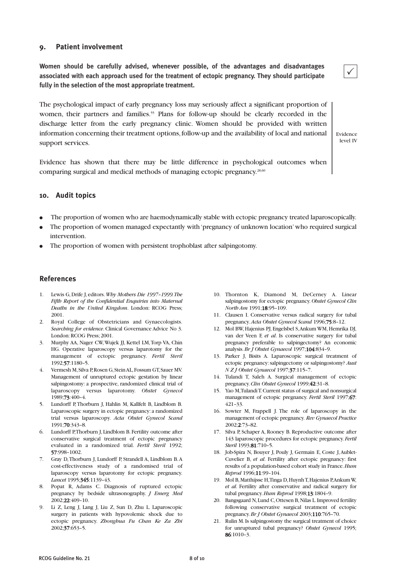# **9. Patient involvement**

**Women should be carefully advised, whenever possible, of the advantages and disadvantages associated with each approach used for the treatment of ectopic pregnancy. They should participate fully in the selection of the most appropriate treatment.**

The psychological impact of early pregnancy loss may seriously affect a significant proportion of women, their partners and families.<sup>55</sup> Plans for follow-up should be clearly recorded in the discharge letter from the early pregnancy clinic. Women should be provided with written information concerning their treatment options, follow-up and the availability of local and national support services.

Evidence level IV

 $\checkmark$ 

Evidence has shown that there may be little difference in psychological outcomes when comparing surgical and medical methods of managing ectopic pregnancy.<sup>28,60</sup>

#### **10. Audit topics**

- The proportion of women who are haemodynamically stable with ectopic pregnancy treated laparoscopically.
- The proportion of women managed expectantly with 'pregnancy of unknown location' who required surgical intervention.
- The proportion of women with persistent trophoblast after salpingotomy.

#### **References**

- 1. Lewis G, Drife J, editors. *Why Mothers Die 1997–1999. The Fifth Report of the Confidential Enquiries into Maternal Deaths in the United Kingdom*. London: RCOG Press; 2001.
- 2. Royal College of Obstetricians and Gynaecologists. *Searching for evidence*. Clinical Governance Advice No 3. London: RCOG Press; 2001.
- 3. Murphy AA, Nager CW, Wujek JJ, Kettel LM, Torp VA, Chin HG. Operative laparoscopy versus laparotomy for the management of ectopic pregnancy. *Fertil Steril* 1992;57:1180–5.
- 4. Vermesh M, Silva P, Rosen G, Stein AL, Fossum GT, Sauer MV. Management of unruptured ectopic gestation by linear salpingostomy: a prospective, randomized clinical trial of laparoscopy versus laparotomy. *Obstet Gynecol* 1989;73:400–4.
- 5. Lundorff P, Thorburn J, Hahlin M, Kallfelt B, Lindblom B. Laparoscopic surgery in ectopic pregnancy: a randomized trial versus laparoscopy. *Acta Obstet Gynecol Scand* 1991;70:343–8.
- 6. Lundorff P, Thorburn J, Lindblom B. Fertility outcome after conservative surgical treatment of ectopic pregnancy evaluated in a randomized trial. *Fertil Steril* 1992; 57:998–1002.
- 7. Gray D, Thorburn J, Lundorff P, Strandell A, Lindblom B. A cost-effectiveness study of a randomised trial of laparoscopy versus laparotomy for ectopic pregnancy. *Lancet* 1995;345:1139–43.
- 8. Popat R, Adams C. Diagnosis of ruptured ectopic pregnancy by bedside ultrasonography. *J Emerg Med* 2002;22:409–10.
- 9. Li Z, Leng J, Lang J, Liu Z, Sun D, Zhu L. Laparoscopic surgery in patients with hypovolemic shock due to ectopic pregnancy. *Zhonghua Fu Chan Ke Za Zhi* 2002;37:653–5.
- 10. Thornton K, Diamond M, DeCerney A. Linear salpingostomy for ectopic pregnancy. *Obstet Gynecol Clin North Am* 1991;18:95–109.
- 11. Clausen I. Conservative versus radical surgery for tubal pregnancy. *Acta Obstet Gynecol Scand* 1996;75:8–12.
- 12. Mol BW, Hajenius PJ, Engelsbel S, Ankum WM, Hemrika DJ, van der Veen F, *et al*. Is conservative surgery for tubal pregnancy preferable to salpingectomy? An economic analysis. *Br J Obstet Gynaecol* 1997;104:834–9.
- 13. Parker J, Bisits A. Laparoscopic surgical treatment of ectopic pregnancy: salpingectomy or salpingostomy? *Aust N Z J Obstet Gynaecol* 1997;37:115–7.
- 14. Tulandi T, Saleh A. Surgical management of ectopic pregnancy. *Clin Obstet Gynecol* 1999;42:31–8.
- 15. Yao M, Tulandi T. Current status of surgical and nonsurgical management of ectopic pregnancy. *Fertil Steril* 1997;67: 421–33.
- 16. Sowter M, Frappell J. The role of laparoscopy in the management of ectopic pregnancy. *Rev Gynaecol Practice* 2002;2:73–82.
- 17. Silva P, Schaper A, Rooney B. Reproductive outcome after 143 laparoscopic procedures for ectopic pregnancy. *Fertil Steril* 1993;81:710–5.
- 18. Job-Spira N, Bouyer J, Pouly J, Germain E, Coste J, Aublet-Cuvelier B, *et al*. Fertility after ectopic pregnancy: first results of a population-based cohort study in France. *Hum Reprod* 1996;11:99–104.
- 19. Mol B, Matthijsse H, Tinga D, Huynh T, Hajenius P, Ankum W, *et al*. Fertility after conservative and radical surgery for tubal pregnancy. *Hum Reprod* 1998;13:1804–9.
- 20. Bangsgaard N, Lund C, Ottesen B, Nilas L. Improved fertility following conservative surgical treatment of ectopic pregnancy. *Br J Obstet Gynaecol* 2003;110:765–70.
- 21. Rulin M. Is salpingostomy the surgical treatment of choice for unruptured tubal pregnancy? *Obstet Gynecol* 1995; 86:1010–3.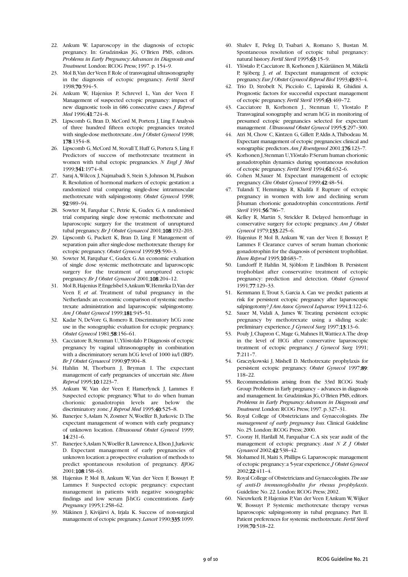- 22. Ankum W. Laparoscopy in the diagnosis of ectopic pregnancy. In: Grudzinskas JG, O'Brien PMS, editors. *Problems in Early Pregnancy: Advances in Diagnosis and Treatment*. London: RCOG Press; 1997. p. 154–9.
- 23. Mol B, Van der Veen F. Role of transvaginal ultrasonography in the diagnosis of ectopic pregnancy. *Fertil Steril* 1998;70:594–5.
- 24. Ankum W, Hajenius P, Schrevel L, Van der Veen F. Management of suspected ectopic pregnancy: impact of new diagnostic tools in 686 consecutive cases. *J Reprod Med* 1996;41:724–8.
- 25. Lipscomb G, Bran D, McCord M, Portera J, Ling F. Analysis of three hundred fifteen ectopic pregnancies treated with single-dose methotrexate. *Am J Obstet Gynecol* 1998; 178:1354–8.
- 26. Lipscomb G, McCord M, Stovall T, Huff G, Portera S, Ling F. Predictors of success of methotrexate treatment in women with tubal ectopic pregnancies. *N Engl J Med* 1999;341:1974–8.
- 27. Saraj A, Wilcox J, Najmabadi S, Stein S, Johnson M, Paulson R. Resolution of hormonal markers of ectopic gestation: a randomized trial comparing single-dose intramuscular methotrexate with salpingostomy. *Obstet Gynecol* 1998; 92:989–94.
- 28. Sowter M, Farquhar C, Petrie K, Gudex G. A randomised trial comparing single dose systemic methotrexate and laparoscopic surgery for the treatment of unruptured tubal pregnancy. *Br J Obstet Gynaecol* 2001;108:192–203.
- 29. Lipscomb G, Puckett K, Bran D, Ling F. Management of separation pain after single-dose methotrexate therapy for ectopic pregnancy. *Obstet Gynecol* 1999;93:590–3.
- 30. Sowter M, Farquhar C, Gudex G. An economic evaluation of single dose systemic methotrexate and laparoscopic surgery for the treatment of unruptured ectopic pregnancy. *Br J Obstet Gynaecol* 2001;108:204–12.
- 31. Mol B, Hajenius P, Engelsbel S, Ankum W, Hemrika D, Van der Veen F, *et al*. Treatment of tubal pregnancy in the Netherlands: an economic comparison of systemic methotrexate administration and laparoscopic salpingostomy. *Am J Obstet Gynecol* 1999;181:945–51.
- 32. Kadar N, DeVore G, Romero R. Discriminatory hCG zone use in the sonographic evaluation for ectopic pregnancy. *Obstet Gynecol* 1981;58:156–61.
- 33. Cacciatore B, Stenman U, Ylöstolalo P. Diagnosis of ectopic pregnancy by vaginal ultrasonography in combination with a discriminatory serum hCG level of 1000 iu/l (IRP). *Br J Obstet Gynaecol* 1990;97:904–8.
- 34. Hahlin M, Thorburn J, Bryman I. The expectant management of early pregnancies of uncertain site. *Hum Reprod* 1995;10:1223–7.
- 35. Ankum W, Van der Veen F, Hamerlynck J, Lammes F. Suspected ectopic pregnancy. What to do when human chorionic gonadotropin levels are below the discriminatory zone. *J Reprod Med* 1995; 40:525-8.
- 36. Banerjee S, Aslam N, Zosmer N, Woelfer B, Jurkovic D. The expectant management of women with early pregnancy of unknown location. *Ultrasound Obstet Gynecol* 1999; 14:231–6.
- 37. Banerjee S, Aslam N, Woelfer B, Lawrence A, Elson J, Jurkovic D. Expectant management of early pregnancies of unknown location: a prospective evaluation of methods to predict spontaneous resolution of pregnancy. *BJOG* 2001;108:158–63.
- 38. Hajenius P, Mol B, Ankum W, Van der Veen F, Bossuyt P, Lammes F. Suspected ectopic pregnancy: expectant management in patients with negative sonographic findings and low serum β-hCG concentrations. *Early Pregnancy* 1995;1:258–62.
- 39. Mäkinen J, Kivijärvi A, Irjala K. Success of non-surgical management of ectopic pregnancy. *Lancet* 1990;335:1099.
- 40. Shalev E, Peleg D, Tsabari A, Romano S, Bustan M. Spontaneous resolution of ectopic tubal pregnancy: natural history. *Fertil Steril* 1995;63:15–9.
- 41. Ylöstalo P, Cacciatore B, Korhonen J, Kääriäinen M, Mäkelä P, Sjöberg J, *et al*. Expectant management of ectopic pregnancy. *Eur J Obstet Gynecol Reprod Biol* 1993;49:83–4.
- 42. Trio D, Strobelt N, Picciolo C, Lapinski R, Ghidini A. Prognostic factors for successful expectant management of ectopic pregnancy. *Fertil Steril* 1995;63:469–72.
- 43. Cacciatore B, Korhonen J., Stenman U, Ylostalo P. Transvaginal sonography and serum hCG in monitoring of presumed ectopic pregnancies selected for expectant management . *Ultrasound Obstet Gynecol* 1995;5:297–300.
- 44. Atri M, Chow C, Kintzen G, Gillett P, Aldis A, Thibodeau M. Expectant management of ectopic pregnancies: clinical and sonographic predictors. *Am J Roentgenol* 2001;176:123–7.
- 45. Korhonen J, Stenman U, Ylöstalo P. Serum human chorionic gonadotrophin dynamics during spontaneous resolution of ectopic pregnancy. *Fertil Steril* 1994;61:632–6.
- 46. Cohen M,Sauer M. Expectant management of ectopic pregnancy. *Clin Obstet Gynecol* 1999;42:48–54.
- 47. Tulandi T, Hemmings R, Khalifa F. Rupture of ectopic pregnancy in women with low and declining serum β-human chorionic gonadotrophin concentrations. *Fertil Steril* 1991;56:786–7.
- 48. Kelley R, Martin S, Strickler R. Delayed hemorrhage in conservative surgery for ectopic pregnancy. *Am J Obstet Gynecol* 1979;133:225–6.
- 49. Hajenius P, Mol B, Ankum W, van der Veen F, Bossuyt P, Lammes F. Clearance curves of serum human chorionic gonadotrophin for the diagnosis of persistent trophoblast. *Hum Reprod* 1995;10:683–7.
- 50. Lundorff P, Hahlin M, Sjöblom P, Lindblom B. Persistent trophoblast after conservative treatment of ectopic pregnancy: prediction and detection. *Obstet Gynecol* 1991;77:129–33.
- 51. Kemmann E, Trout S, Garcia A. Can we predict patients at risk for persistent ectopic pregnancy after laparoscopic salpingotomy? *J Am Assoc Gynecol Laparosc* 1994;1:122–6.
- 52. Sauer M, Vidali A, James W. Treating persistent ectopic pregnancy by methotrexate using a sliding scale: preliminary experience. *J Gynecol Surg* 1997;13:13–6.
- 53. Pouly J, Chapron C, Mage G, Mahnes H, Wattiez A. The drop in the level of HCG after conservative laparoscopic treatment of ectopic pregnancy. *J Gynecol Surg* 1991; 7:211–7.
- 54. Graczykowski J, Mishell D. Methotrexate prophylaxis for persistent ectopic pregnancy. *Obstet Gynecol* 1997;89: 118–22.
- 55. Recommendations arising from the 33rd RCOG Study Group: Problems in Early pregnancy – advances in diagnosis and management. In: Grudzinskas JG, O'Brien PMS, editors. *Problems in Early Pregnancy: Advances in Diagnosis and Treatment*. London: RCOG Press; 1997. p. 327–31.
- 56. Royal College of Obstetricians and Gynaecologists. *The management of early pregnancy loss*. Clinical Guideline No. 25. London: RCOG Press; 2000.
- 57. Cooray H, Harilall M, Farquahar C. A six year audit of the management of ectopic pregnancy. *Aust N Z J Obstet Gynaecol* 2002;42:538–42.
- 58. Mohamed H, Maiti S, Phillips G. Laparoscopic management of ectopic pregnancy: a 5-year experience. *J Obstet Gynecol* 2002;22:411–4.
- 59. Royal College of Obstetricians and Gynaecologists. *The use of anti-D immunoglobulin for rhesus prophylaxis*. Guideline No. 22. London: RCOG Press; 2002.
- 60. Nieuwkerk P, Hajenius P, Van der Veen F, Ankum W, Wijker W, Bossuyt P. Systemic methotrexate therapy versus laparoscopic salpingostomy in tubal pregnancy. Part II. Patient preferences for systemic methotrexate. *Fertil Steril* 1998;70:518–22.